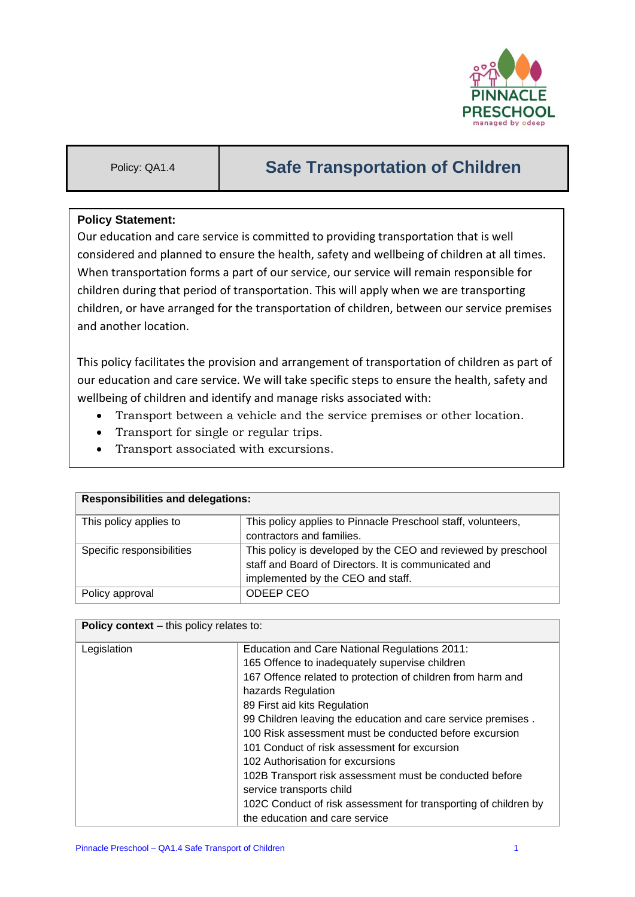

# Policy: QA1.4 **Safe Transportation of Children**

## **Policy Statement:**

Our education and care service is committed to providing transportation that is well considered and planned to ensure the health, safety and wellbeing of children at all times. When transportation forms a part of our service, our service will remain responsible for children during that period of transportation. This will apply when we are transporting children, or have arranged for the transportation of children, between our service premises and another location.

This policy facilitates the provision and arrangement of transportation of children as part of our education and care service. We will take specific steps to ensure the health, safety and wellbeing of children and identify and manage risks associated with:

- Transport between a vehicle and the service premises or other location.
- Transport for single or regular trips.
- Transport associated with excursions.

| <b>Responsibilities and delegations:</b> |                                                               |  |
|------------------------------------------|---------------------------------------------------------------|--|
| This policy applies to                   | This policy applies to Pinnacle Preschool staff, volunteers,  |  |
|                                          | contractors and families.                                     |  |
| Specific responsibilities                | This policy is developed by the CEO and reviewed by preschool |  |
|                                          | staff and Board of Directors. It is communicated and          |  |
|                                          | implemented by the CEO and staff.                             |  |
| Policy approval                          | ODEEP CEO                                                     |  |

| <b>Policy context</b> – this policy relates to: |                                                                 |  |
|-------------------------------------------------|-----------------------------------------------------------------|--|
| Legislation                                     | Education and Care National Regulations 2011:                   |  |
|                                                 | 165 Offence to inadequately supervise children                  |  |
|                                                 | 167 Offence related to protection of children from harm and     |  |
|                                                 | hazards Regulation                                              |  |
|                                                 | 89 First aid kits Regulation                                    |  |
|                                                 | 99 Children leaving the education and care service premises.    |  |
|                                                 | 100 Risk assessment must be conducted before excursion          |  |
|                                                 | 101 Conduct of risk assessment for excursion                    |  |
|                                                 | 102 Authorisation for excursions                                |  |
|                                                 | 102B Transport risk assessment must be conducted before         |  |
|                                                 | service transports child                                        |  |
|                                                 | 102C Conduct of risk assessment for transporting of children by |  |
|                                                 | the education and care service                                  |  |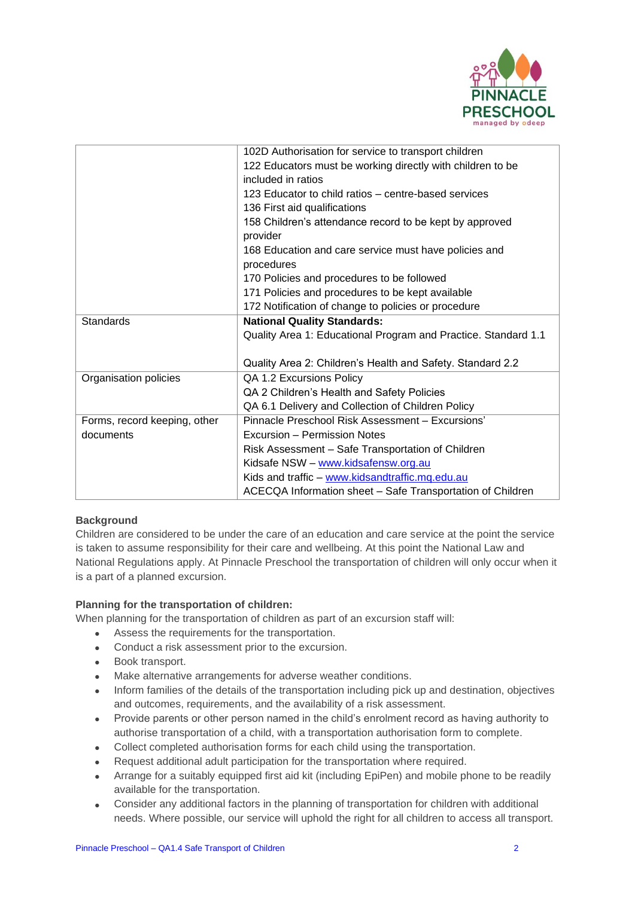

|                              | 102D Authorisation for service to transport children           |  |
|------------------------------|----------------------------------------------------------------|--|
|                              | 122 Educators must be working directly with children to be     |  |
|                              | included in ratios                                             |  |
|                              | 123 Educator to child ratios – centre-based services           |  |
|                              | 136 First aid qualifications                                   |  |
|                              | 158 Children's attendance record to be kept by approved        |  |
|                              | provider                                                       |  |
|                              | 168 Education and care service must have policies and          |  |
|                              | procedures                                                     |  |
|                              | 170 Policies and procedures to be followed                     |  |
|                              | 171 Policies and procedures to be kept available               |  |
|                              | 172 Notification of change to policies or procedure            |  |
| <b>Standards</b>             | <b>National Quality Standards:</b>                             |  |
|                              | Quality Area 1: Educational Program and Practice. Standard 1.1 |  |
|                              |                                                                |  |
|                              | Quality Area 2: Children's Health and Safety. Standard 2.2     |  |
| Organisation policies        | QA 1.2 Excursions Policy                                       |  |
|                              | QA 2 Children's Health and Safety Policies                     |  |
|                              | QA 6.1 Delivery and Collection of Children Policy              |  |
| Forms, record keeping, other | Pinnacle Preschool Risk Assessment - Excursions'               |  |
| documents                    | Excursion - Permission Notes                                   |  |
|                              | Risk Assessment – Safe Transportation of Children              |  |
|                              | Kidsafe NSW - www.kidsafensw.org.au                            |  |
|                              | Kids and traffic - www.kidsandtraffic.mq.edu.au                |  |
|                              | ACECQA Information sheet - Safe Transportation of Children     |  |
|                              |                                                                |  |

#### **Background**

Children are considered to be under the care of an education and care service at the point the service is taken to assume responsibility for their care and wellbeing. At this point the National Law and National Regulations apply. At Pinnacle Preschool the transportation of children will only occur when it is a part of a planned excursion.

## **Planning for the transportation of children:**

When planning for the transportation of children as part of an excursion staff will:

- Assess the requirements for the transportation.
- Conduct a risk assessment prior to the excursion.
- Book transport.
- Make alternative arrangements for adverse weather conditions.
- Inform families of the details of the transportation including pick up and destination, objectives and outcomes, requirements, and the availability of a risk assessment.
- Provide parents or other person named in the child's enrolment record as having authority to authorise transportation of a child, with a transportation authorisation form to complete.
- Collect completed authorisation forms for each child using the transportation.
- Request additional adult participation for the transportation where required.
- Arrange for a suitably equipped first aid kit (including EpiPen) and mobile phone to be readily available for the transportation.
- Consider any additional factors in the planning of transportation for children with additional needs. Where possible, our service will uphold the right for all children to access all transport.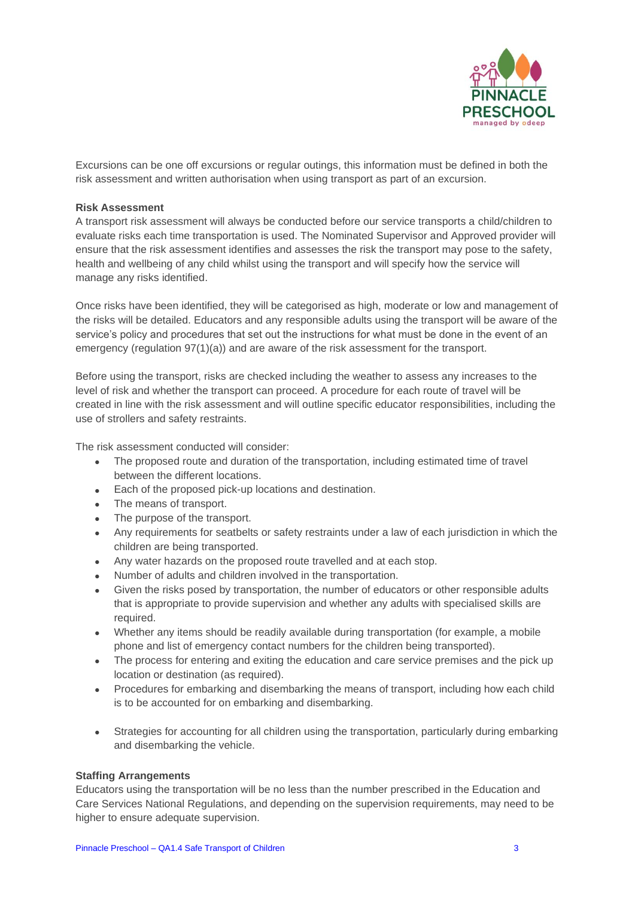

Excursions can be one off excursions or regular outings, this information must be defined in both the risk assessment and written authorisation when using transport as part of an excursion.

#### **Risk Assessment**

A transport risk assessment will always be conducted before our service transports a child/children to evaluate risks each time transportation is used. The Nominated Supervisor and Approved provider will ensure that the risk assessment identifies and assesses the risk the transport may pose to the safety, health and wellbeing of any child whilst using the transport and will specify how the service will manage any risks identified.

Once risks have been identified, they will be categorised as high, moderate or low and management of the risks will be detailed. Educators and any responsible adults using the transport will be aware of the service's policy and procedures that set out the instructions for what must be done in the event of an emergency (regulation  $97(1)(a)$ ) and are aware of the risk assessment for the transport.

Before using the transport, risks are checked including the weather to assess any increases to the level of risk and whether the transport can proceed. A procedure for each route of travel will be created in line with the risk assessment and will outline specific educator responsibilities, including the use of strollers and safety restraints.

The risk assessment conducted will consider:

- The proposed route and duration of the transportation, including estimated time of travel between the different locations.
- Each of the proposed pick-up locations and destination.
- The means of transport.
- The purpose of the transport.
- Any requirements for seatbelts or safety restraints under a law of each jurisdiction in which the children are being transported.
- Any water hazards on the proposed route travelled and at each stop.
- Number of adults and children involved in the transportation.
- Given the risks posed by transportation, the number of educators or other responsible adults that is appropriate to provide supervision and whether any adults with specialised skills are required.
- Whether any items should be readily available during transportation (for example, a mobile phone and list of emergency contact numbers for the children being transported).
- The process for entering and exiting the education and care service premises and the pick up location or destination (as required).
- Procedures for embarking and disembarking the means of transport, including how each child is to be accounted for on embarking and disembarking.
- Strategies for accounting for all children using the transportation, particularly during embarking and disembarking the vehicle.

#### **Staffing Arrangements**

Educators using the transportation will be no less than the number prescribed in the Education and Care Services National Regulations, and depending on the supervision requirements, may need to be higher to ensure adequate supervision.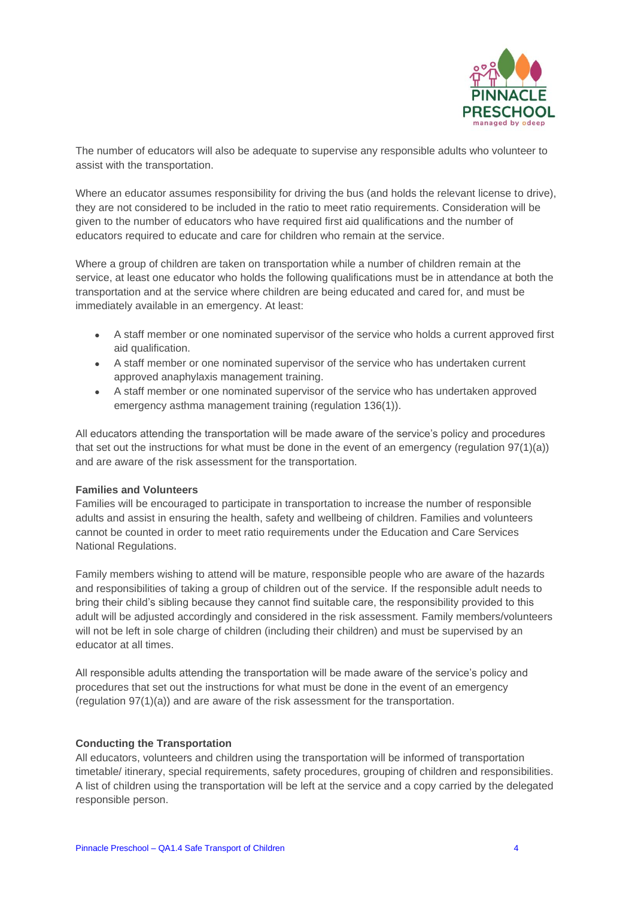

The number of educators will also be adequate to supervise any responsible adults who volunteer to assist with the transportation.

Where an educator assumes responsibility for driving the bus (and holds the relevant license to drive), they are not considered to be included in the ratio to meet ratio requirements. Consideration will be given to the number of educators who have required first aid qualifications and the number of educators required to educate and care for children who remain at the service.

Where a group of children are taken on transportation while a number of children remain at the service, at least one educator who holds the following qualifications must be in attendance at both the transportation and at the service where children are being educated and cared for, and must be immediately available in an emergency. At least:

- A staff member or one nominated supervisor of the service who holds a current approved first aid qualification.
- A staff member or one nominated supervisor of the service who has undertaken current approved anaphylaxis management training.
- A staff member or one nominated supervisor of the service who has undertaken approved emergency asthma management training (regulation 136(1)).

All educators attending the transportation will be made aware of the service's policy and procedures that set out the instructions for what must be done in the event of an emergency (regulation 97(1)(a)) and are aware of the risk assessment for the transportation.

#### **Families and Volunteers**

Families will be encouraged to participate in transportation to increase the number of responsible adults and assist in ensuring the health, safety and wellbeing of children. Families and volunteers cannot be counted in order to meet ratio requirements under the Education and Care Services National Regulations.

Family members wishing to attend will be mature, responsible people who are aware of the hazards and responsibilities of taking a group of children out of the service. If the responsible adult needs to bring their child's sibling because they cannot find suitable care, the responsibility provided to this adult will be adjusted accordingly and considered in the risk assessment. Family members/volunteers will not be left in sole charge of children (including their children) and must be supervised by an educator at all times.

All responsible adults attending the transportation will be made aware of the service's policy and procedures that set out the instructions for what must be done in the event of an emergency (regulation 97(1)(a)) and are aware of the risk assessment for the transportation.

#### **Conducting the Transportation**

All educators, volunteers and children using the transportation will be informed of transportation timetable/ itinerary, special requirements, safety procedures, grouping of children and responsibilities. A list of children using the transportation will be left at the service and a copy carried by the delegated responsible person.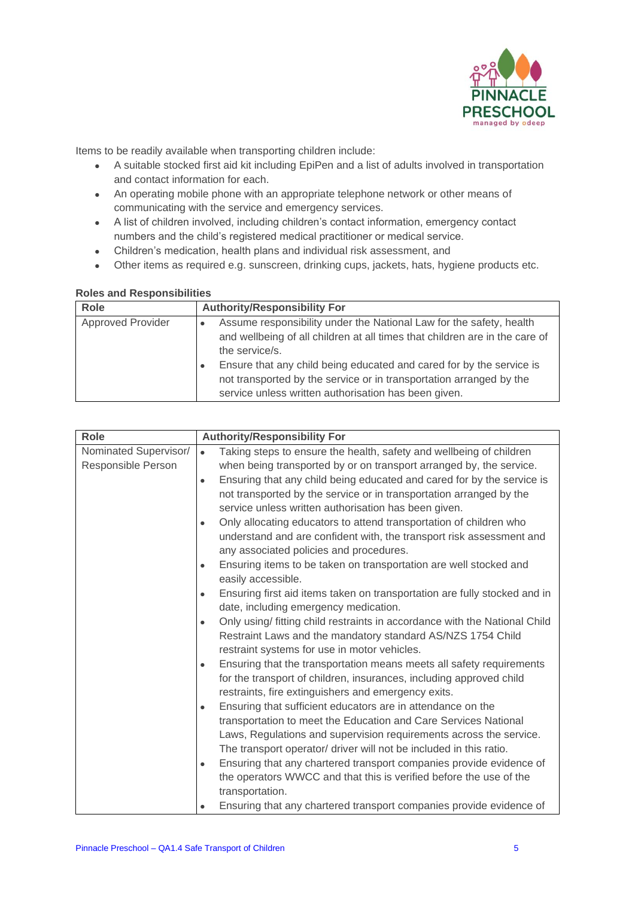

Items to be readily available when transporting children include:

- A suitable stocked first aid kit including EpiPen and a list of adults involved in transportation and contact information for each.
- An operating mobile phone with an appropriate telephone network or other means of communicating with the service and emergency services.
- A list of children involved, including children's contact information, emergency contact numbers and the child's registered medical practitioner or medical service.
- Children's medication, health plans and individual risk assessment, and
- Other items as required e.g. sunscreen, drinking cups, jackets, hats, hygiene products etc.

### **Roles and Responsibilities**

| Role                     | <b>Authority/Responsibility For</b>                                         |
|--------------------------|-----------------------------------------------------------------------------|
| <b>Approved Provider</b> | Assume responsibility under the National Law for the safety, health         |
|                          | and wellbeing of all children at all times that children are in the care of |
|                          | the service/s.                                                              |
|                          | Ensure that any child being educated and cared for by the service is        |
|                          | not transported by the service or in transportation arranged by the         |
|                          | service unless written authorisation has been given.                        |

| <b>Role</b>           | <b>Authority/Responsibility For</b> |                                                                            |
|-----------------------|-------------------------------------|----------------------------------------------------------------------------|
| Nominated Supervisor/ | $\bullet$                           | Taking steps to ensure the health, safety and wellbeing of children        |
| Responsible Person    |                                     | when being transported by or on transport arranged by, the service.        |
|                       | $\bullet$                           | Ensuring that any child being educated and cared for by the service is     |
|                       |                                     | not transported by the service or in transportation arranged by the        |
|                       |                                     | service unless written authorisation has been given.                       |
|                       | $\bullet$                           | Only allocating educators to attend transportation of children who         |
|                       |                                     | understand and are confident with, the transport risk assessment and       |
|                       |                                     | any associated policies and procedures.                                    |
|                       | $\bullet$                           | Ensuring items to be taken on transportation are well stocked and          |
|                       |                                     | easily accessible.                                                         |
|                       | $\bullet$                           | Ensuring first aid items taken on transportation are fully stocked and in  |
|                       |                                     | date, including emergency medication.                                      |
|                       | $\bullet$                           | Only using/ fitting child restraints in accordance with the National Child |
|                       |                                     | Restraint Laws and the mandatory standard AS/NZS 1754 Child                |
|                       |                                     | restraint systems for use in motor vehicles.                               |
|                       | $\bullet$                           | Ensuring that the transportation means meets all safety requirements       |
|                       |                                     | for the transport of children, insurances, including approved child        |
|                       |                                     | restraints, fire extinguishers and emergency exits.                        |
|                       | $\bullet$                           | Ensuring that sufficient educators are in attendance on the                |
|                       |                                     | transportation to meet the Education and Care Services National            |
|                       |                                     | Laws, Regulations and supervision requirements across the service.         |
|                       |                                     | The transport operator/ driver will not be included in this ratio.         |
|                       | $\bullet$                           | Ensuring that any chartered transport companies provide evidence of        |
|                       |                                     | the operators WWCC and that this is verified before the use of the         |
|                       |                                     | transportation.                                                            |
|                       |                                     | Ensuring that any chartered transport companies provide evidence of        |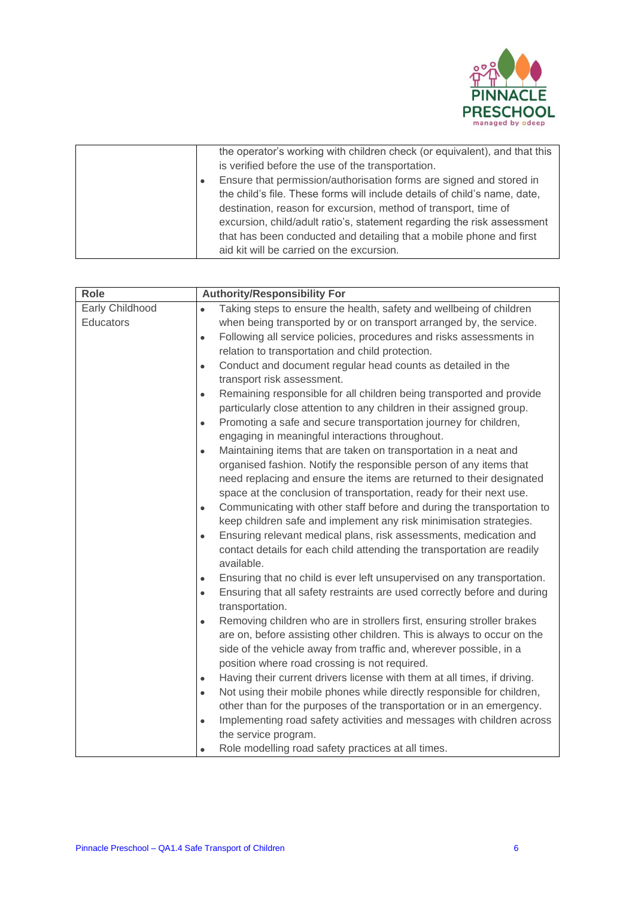

|           | the operator's working with children check (or equivalent), and that this |
|-----------|---------------------------------------------------------------------------|
|           | is verified before the use of the transportation.                         |
| $\bullet$ | Ensure that permission/authorisation forms are signed and stored in       |
|           | the child's file. These forms will include details of child's name, date, |
|           | destination, reason for excursion, method of transport, time of           |
|           | excursion, child/adult ratio's, statement regarding the risk assessment   |
|           | that has been conducted and detailing that a mobile phone and first       |
|           | aid kit will be carried on the excursion.                                 |

| <b>Role</b>     | <b>Authority/Responsibility For</b>                                                                      |  |  |
|-----------------|----------------------------------------------------------------------------------------------------------|--|--|
| Early Childhood | Taking steps to ensure the health, safety and wellbeing of children<br>$\bullet$                         |  |  |
| Educators       | when being transported by or on transport arranged by, the service.                                      |  |  |
|                 | Following all service policies, procedures and risks assessments in<br>$\bullet$                         |  |  |
|                 | relation to transportation and child protection.                                                         |  |  |
|                 | Conduct and document regular head counts as detailed in the<br>$\bullet$                                 |  |  |
|                 | transport risk assessment.                                                                               |  |  |
|                 | Remaining responsible for all children being transported and provide<br>$\bullet$                        |  |  |
|                 | particularly close attention to any children in their assigned group.                                    |  |  |
|                 | Promoting a safe and secure transportation journey for children,<br>$\bullet$                            |  |  |
|                 | engaging in meaningful interactions throughout.                                                          |  |  |
|                 | Maintaining items that are taken on transportation in a neat and<br>$\bullet$                            |  |  |
|                 | organised fashion. Notify the responsible person of any items that                                       |  |  |
|                 | need replacing and ensure the items are returned to their designated                                     |  |  |
|                 | space at the conclusion of transportation, ready for their next use.                                     |  |  |
|                 | Communicating with other staff before and during the transportation to<br>$\bullet$                      |  |  |
|                 | keep children safe and implement any risk minimisation strategies.                                       |  |  |
|                 | Ensuring relevant medical plans, risk assessments, medication and<br>$\bullet$                           |  |  |
|                 | contact details for each child attending the transportation are readily                                  |  |  |
|                 | available.                                                                                               |  |  |
|                 | Ensuring that no child is ever left unsupervised on any transportation.<br>$\bullet$                     |  |  |
|                 | Ensuring that all safety restraints are used correctly before and during<br>$\bullet$<br>transportation. |  |  |
|                 | Removing children who are in strollers first, ensuring stroller brakes<br>$\bullet$                      |  |  |
|                 | are on, before assisting other children. This is always to occur on the                                  |  |  |
|                 | side of the vehicle away from traffic and, wherever possible, in a                                       |  |  |
|                 | position where road crossing is not required.                                                            |  |  |
|                 | Having their current drivers license with them at all times, if driving.<br>$\bullet$                    |  |  |
|                 | Not using their mobile phones while directly responsible for children,<br>$\bullet$                      |  |  |
|                 | other than for the purposes of the transportation or in an emergency.                                    |  |  |
|                 | Implementing road safety activities and messages with children across<br>$\bullet$                       |  |  |
|                 | the service program.                                                                                     |  |  |
|                 | Role modelling road safety practices at all times.                                                       |  |  |